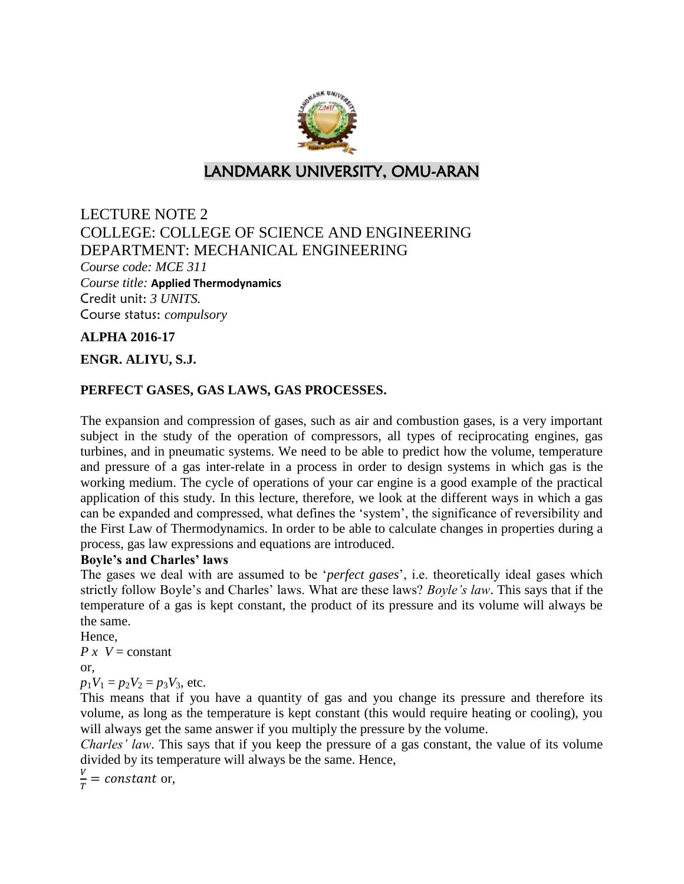

# LANDMARK UNIVERSITY, OMU-ARAN

# LECTURE NOTE 2 COLLEGE: COLLEGE OF SCIENCE AND ENGINEERING DEPARTMENT: MECHANICAL ENGINEERING *Course code: MCE 311 Course title:* **Applied Thermodynamics** Credit unit: *3 UNITS.* Course status: *compulsory*

## **ALPHA 2016-17**

## **ENGR. ALIYU, S.J.**

# **PERFECT GASES, GAS LAWS, GAS PROCESSES.**

The expansion and compression of gases, such as air and combustion gases, is a very important subject in the study of the operation of compressors, all types of reciprocating engines, gas turbines, and in pneumatic systems. We need to be able to predict how the volume, temperature and pressure of a gas inter-relate in a process in order to design systems in which gas is the working medium. The cycle of operations of your car engine is a good example of the practical application of this study. In this lecture, therefore, we look at the different ways in which a gas can be expanded and compressed, what defines the 'system', the significance of reversibility and the First Law of Thermodynamics. In order to be able to calculate changes in properties during a process, gas law expressions and equations are introduced.

### **Boyle's and Charles' laws**

The gases we deal with are assumed to be '*perfect gases*', i.e. theoretically ideal gases which strictly follow Boyle's and Charles' laws. What are these laws? *Boyle's law*. This says that if the temperature of a gas is kept constant, the product of its pressure and its volume will always be the same.

Hence,

*P x*  $V =$  constant

or,

 $p_1V_1 = p_2V_2 = p_3V_3$ , etc.

This means that if you have a quantity of gas and you change its pressure and therefore its volume, as long as the temperature is kept constant (this would require heating or cooling), you will always get the same answer if you multiply the pressure by the volume.

*Charles' law*. This says that if you keep the pressure of a gas constant, the value of its volume divided by its temperature will always be the same. Hence,

V  $\frac{v}{T}$  = constant or,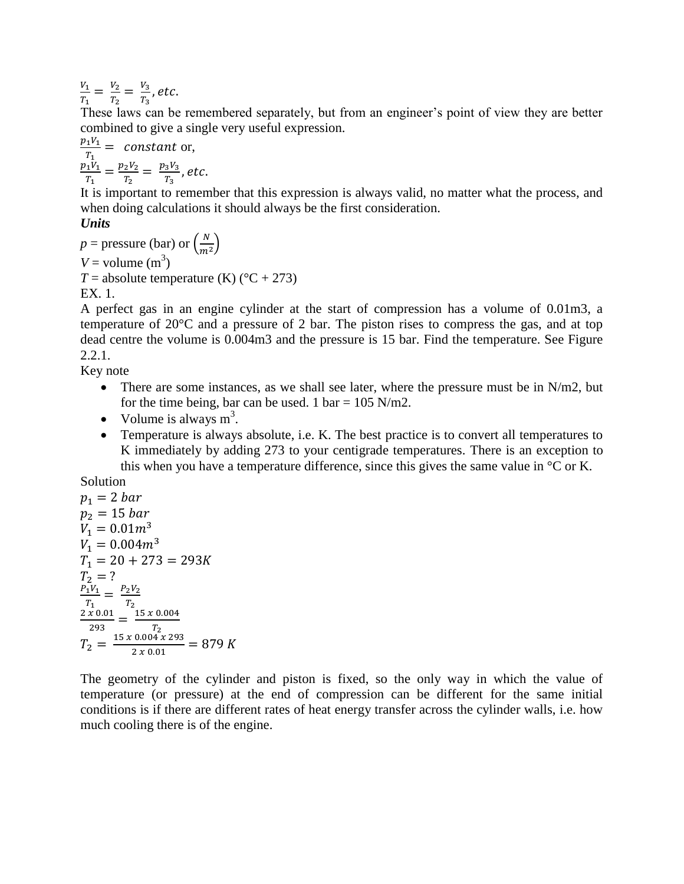V  $\frac{V_1}{T_1} = \frac{V_2}{T_2}$  $\frac{V_2}{T_2} = \frac{V_2}{T_2}$  $\frac{r_3}{T_3}$ ,

These laws can be remembered separately, but from an engineer's point of view they are better combined to give a single very useful expression.

$$
\frac{p_1 V_1}{T_1} = constant or,\n\frac{p_1 V_1}{T_1} = \frac{p_2 V_2}{T_2} = \frac{p_3 V_3}{T_3}, etc.
$$

It is important to remember that this expression is always valid, no matter what the process, and when doing calculations it should always be the first consideration.

## *Units*

$$
p = \text{pressure (bar) or } \left(\frac{N}{m^2}\right)
$$
  
V = volume (m<sup>3</sup>)  
T = absolute temperature (K) (°C + 273)  
EX. 1.

A perfect gas in an engine cylinder at the start of compression has a volume of 0.01m3, a temperature of 20°C and a pressure of 2 bar. The piston rises to compress the gas, and at top dead centre the volume is 0.004m3 and the pressure is 15 bar. Find the temperature. See Figure 2.2.1.

Key note

- There are some instances, as we shall see later, where the pressure must be in  $N/m2$ , but for the time being, bar can be used. 1 bar =  $105$  N/m2.
- Volume is always  $m^3$ .
- Temperature is always absolute, i.e. K. The best practice is to convert all temperatures to K immediately by adding 273 to your centigrade temperatures. There is an exception to this when you have a temperature difference, since this gives the same value in  $\mathrm{C}$  or K.

Solution

$$
p_1 = 2 bar
$$
  
\n
$$
p_2 = 15 bar
$$
  
\n
$$
V_1 = 0.01m^3
$$
  
\n
$$
V_1 = 0.004m^3
$$
  
\n
$$
T_1 = 20 + 273 = 293K
$$
  
\n
$$
T_2 = ?
$$
  
\n
$$
\frac{P_1V_1}{T_1} = \frac{P_2V_2}{T_2}
$$
  
\n
$$
\frac{2 \times 0.01}{293} = \frac{15 \times 0.004}{T_2}
$$
  
\n
$$
T_2 = \frac{15 \times 0.004 \times 293}{2 \times 0.01} = 879 K
$$

The geometry of the cylinder and piston is fixed, so the only way in which the value of temperature (or pressure) at the end of compression can be different for the same initial conditions is if there are different rates of heat energy transfer across the cylinder walls, i.e. how much cooling there is of the engine.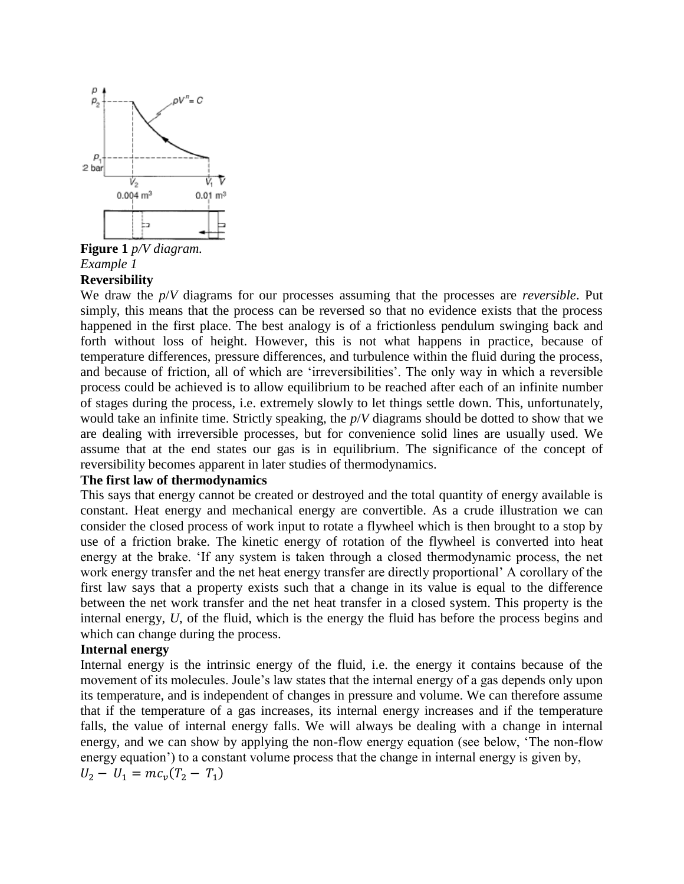

**Figure 1** *p/V diagram. Example 1*  **Reversibility**

We draw the *p*/*V* diagrams for our processes assuming that the processes are *reversible*. Put simply, this means that the process can be reversed so that no evidence exists that the process happened in the first place. The best analogy is of a frictionless pendulum swinging back and forth without loss of height. However, this is not what happens in practice, because of temperature differences, pressure differences, and turbulence within the fluid during the process, and because of friction, all of which are 'irreversibilities'. The only way in which a reversible process could be achieved is to allow equilibrium to be reached after each of an infinite number of stages during the process, i.e. extremely slowly to let things settle down. This, unfortunately, would take an infinite time. Strictly speaking, the *p*/*V* diagrams should be dotted to show that we are dealing with irreversible processes, but for convenience solid lines are usually used. We assume that at the end states our gas is in equilibrium. The significance of the concept of reversibility becomes apparent in later studies of thermodynamics.

### **The first law of thermodynamics**

This says that energy cannot be created or destroyed and the total quantity of energy available is constant. Heat energy and mechanical energy are convertible. As a crude illustration we can consider the closed process of work input to rotate a flywheel which is then brought to a stop by use of a friction brake. The kinetic energy of rotation of the flywheel is converted into heat energy at the brake. 'If any system is taken through a closed thermodynamic process, the net work energy transfer and the net heat energy transfer are directly proportional' A corollary of the first law says that a property exists such that a change in its value is equal to the difference between the net work transfer and the net heat transfer in a closed system. This property is the internal energy, *U*, of the fluid, which is the energy the fluid has before the process begins and which can change during the process.

### **Internal energy**

Internal energy is the intrinsic energy of the fluid, i.e. the energy it contains because of the movement of its molecules. Joule's law states that the internal energy of a gas depends only upon its temperature, and is independent of changes in pressure and volume. We can therefore assume that if the temperature of a gas increases, its internal energy increases and if the temperature falls, the value of internal energy falls. We will always be dealing with a change in internal energy, and we can show by applying the non-flow energy equation (see below, 'The non-flow energy equation') to a constant volume process that the change in internal energy is given by,  $U_2 - U_1 = mc_v (T_2 - T_1)$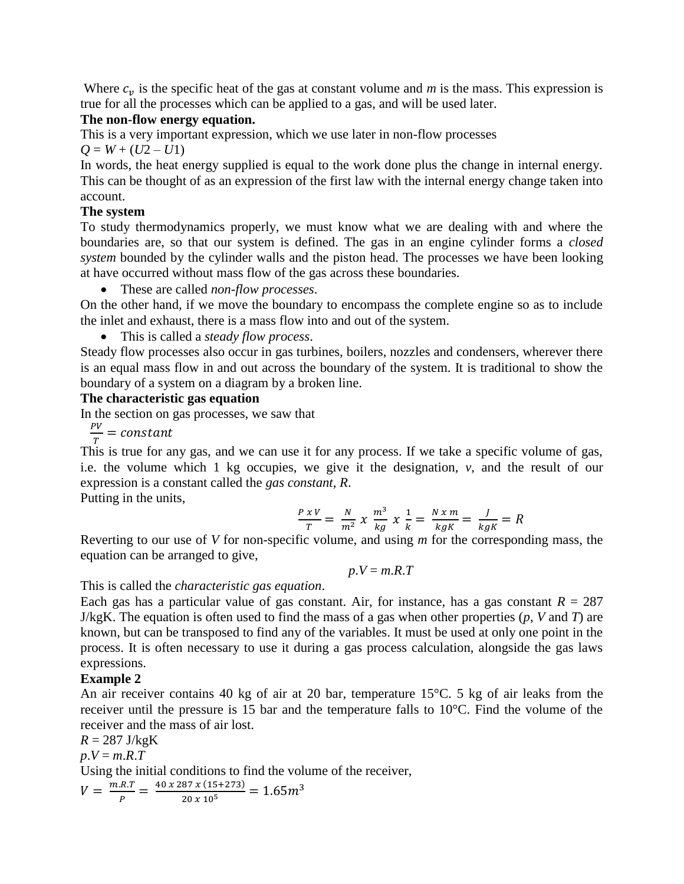Where  $c_v$  is the specific heat of the gas at constant volume and  $m$  is the mass. This expression is true for all the processes which can be applied to a gas, and will be used later.

# **The non-flow energy equation.**

This is a very important expression, which we use later in non-flow processes  $Q = W + (U2 - U1)$ 

In words, the heat energy supplied is equal to the work done plus the change in internal energy. This can be thought of as an expression of the first law with the internal energy change taken into account.

# **The system**

To study thermodynamics properly, we must know what we are dealing with and where the boundaries are, so that our system is defined. The gas in an engine cylinder forms a *closed system* bounded by the cylinder walls and the piston head. The processes we have been looking at have occurred without mass flow of the gas across these boundaries.

These are called *non-flow processes*.

On the other hand, if we move the boundary to encompass the complete engine so as to include the inlet and exhaust, there is a mass flow into and out of the system.

This is called a *steady flow process*.

Steady flow processes also occur in gas turbines, boilers, nozzles and condensers, wherever there is an equal mass flow in and out across the boundary of the system. It is traditional to show the boundary of a system on a diagram by a broken line.

# **The characteristic gas equation**

In the section on gas processes, we saw that

 $\boldsymbol{P}$  $\frac{r}{T} =$ 

This is true for any gas, and we can use it for any process. If we take a specific volume of gas, i.e. the volume which 1 kg occupies, we give it the designation, *v*, and the result of our expression is a constant called the *gas constant*, *R*.

Putting in the units,

$$
\frac{P x V}{T} = \frac{N}{m^2} x \frac{m^3}{kg} x \frac{1}{k} = \frac{N x m}{kg K} = \frac{J}{kg K} = R
$$

Reverting to our use of *V* for non-specific volume, and using *m* for the corresponding mass, the equation can be arranged to give,

$$
p.V = m.R.T
$$

This is called the *characteristic gas equation*.

Each gas has a particular value of gas constant. Air, for instance, has a gas constant  $R = 287$ J/kgK. The equation is often used to find the mass of a gas when other properties (*p*, *V* and *T*) are known, but can be transposed to find any of the variables. It must be used at only one point in the process. It is often necessary to use it during a gas process calculation, alongside the gas laws expressions.

# **Example 2**

An air receiver contains 40 kg of air at 20 bar, temperature 15°C. 5 kg of air leaks from the receiver until the pressure is 15 bar and the temperature falls to 10°C. Find the volume of the receiver and the mass of air lost.

 $R = 287$  J/kgK  $p.V = m.R.T$ Using the initial conditions to find the volume of the receiver,  $V = \frac{m}{2}$  $\frac{R.T}{P} = \frac{40 \times 287 \times (15+273)}{20 \times 10^5}$  $\overline{\mathbf{c}}$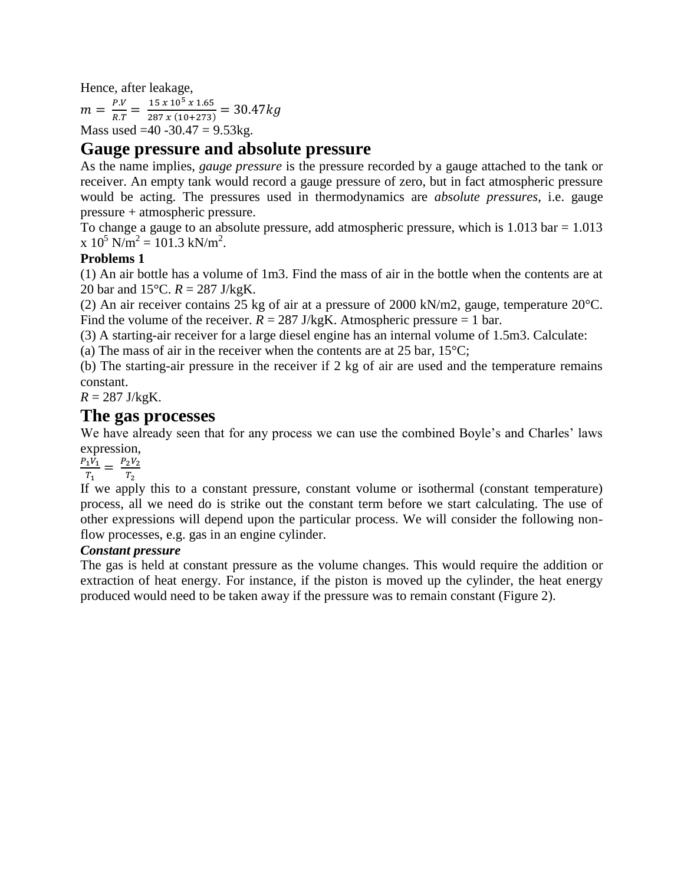Hence, after leakage,

 $m = \frac{P}{R}$  $\frac{P.V}{R.T} = \frac{1}{28}$  $\frac{13 \times 10^{-4} \times 1.03}{287 \times (10+273)} =$ Mass used  $=40 - 30.47 = 9.53$ kg.

# **Gauge pressure and absolute pressure**

As the name implies, *gauge pressure* is the pressure recorded by a gauge attached to the tank or receiver. An empty tank would record a gauge pressure of zero, but in fact atmospheric pressure would be acting. The pressures used in thermodynamics are *absolute pressures*, i.e. gauge pressure + atmospheric pressure.

To change a gauge to an absolute pressure, add atmospheric pressure, which is  $1.013$  bar  $= 1.013$  $x 10^5$  N/m<sup>2</sup> = 101.3 kN/m<sup>2</sup>.

## **Problems 1**

(1) An air bottle has a volume of 1m3. Find the mass of air in the bottle when the contents are at 20 bar and 15°C. *R* = 287 J/kgK.

(2) An air receiver contains 25 kg of air at a pressure of 2000 kN/m2, gauge, temperature 20°C. Find the volume of the receiver.  $R = 287$  J/kgK. Atmospheric pressure  $= 1$  bar.

(3) A starting-air receiver for a large diesel engine has an internal volume of 1.5m3. Calculate:

(a) The mass of air in the receiver when the contents are at 25 bar,  $15^{\circ}$ C;

(b) The starting-air pressure in the receiver if 2 kg of air are used and the temperature remains constant.

 $R = 287$  J/kgK.

# **The gas processes**

We have already seen that for any process we can use the combined Boyle's and Charles' laws expression,

 $\boldsymbol{P}$  $\frac{1}{T_1} \frac{V_1}{V_1} = \frac{P_2}{T_1}$  $T_{\rm i}$ 

If we apply this to a constant pressure, constant volume or isothermal (constant temperature) process, all we need do is strike out the constant term before we start calculating. The use of other expressions will depend upon the particular process. We will consider the following nonflow processes, e.g. gas in an engine cylinder.

### *Constant pressure*

The gas is held at constant pressure as the volume changes. This would require the addition or extraction of heat energy. For instance, if the piston is moved up the cylinder, the heat energy produced would need to be taken away if the pressure was to remain constant (Figure 2).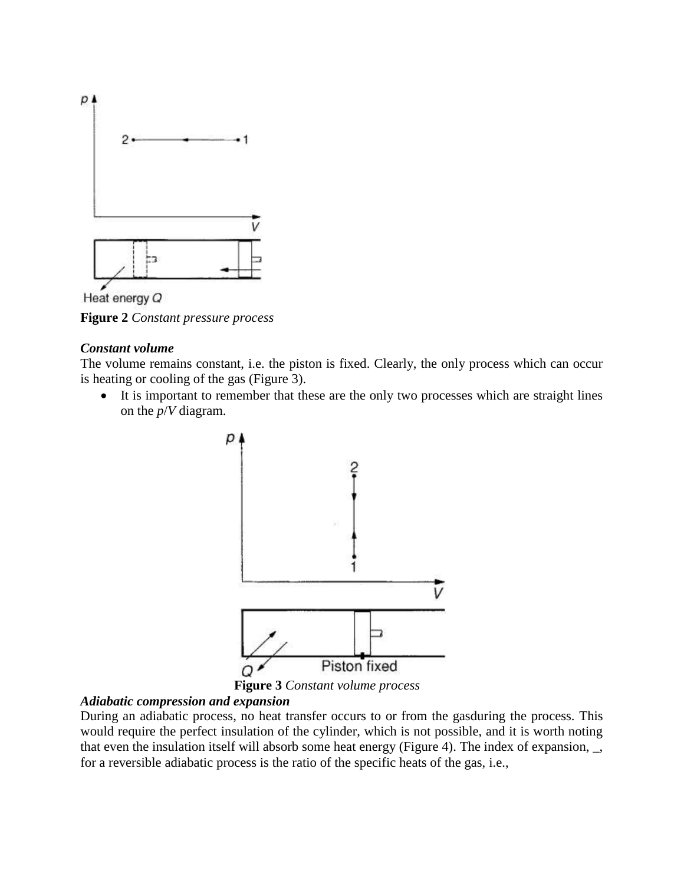

Heat energy Q

**Figure 2** *Constant pressure process*

### *Constant volume*

The volume remains constant, i.e. the piston is fixed. Clearly, the only process which can occur is heating or cooling of the gas (Figure 3).

 It is important to remember that these are the only two processes which are straight lines on the *p*/*V* diagram.



 **Figure 3** *Constant volume process*

### *Adiabatic compression and expansion*

During an adiabatic process, no heat transfer occurs to or from the gasduring the process. This would require the perfect insulation of the cylinder, which is not possible, and it is worth noting that even the insulation itself will absorb some heat energy (Figure 4). The index of expansion, \_, for a reversible adiabatic process is the ratio of the specific heats of the gas, i.e.,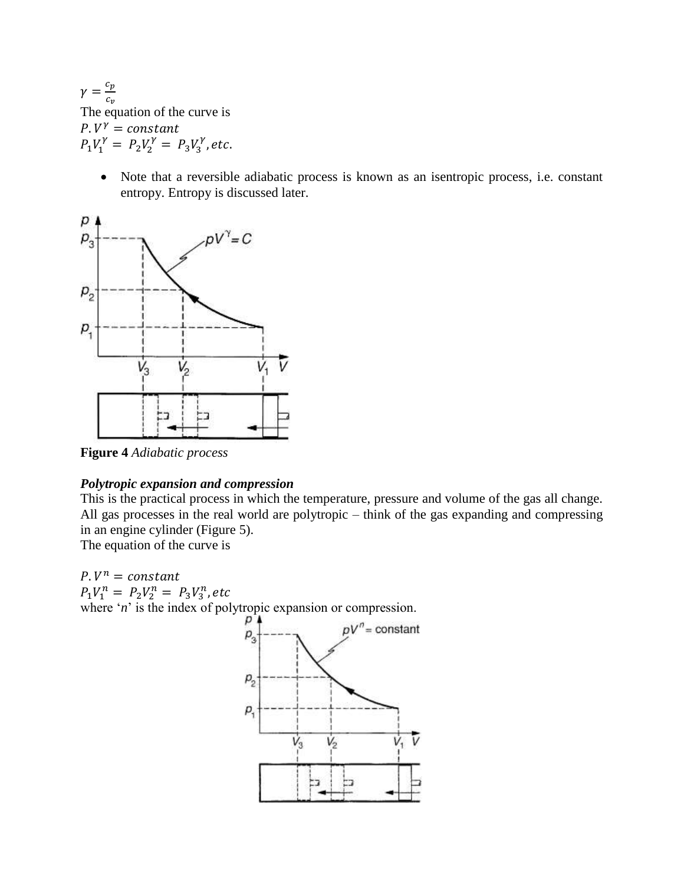$\gamma = \frac{c}{a}$  $\overline{c}$ The equation of the curve is  $P. V^{\gamma}$  $P_1V_1^{\gamma} = P_2V_2^{\gamma} = P_3V_3^{\gamma}$ ,

> Note that a reversible adiabatic process is known as an isentropic process, i.e. constant entropy. Entropy is discussed later.



**Figure 4** *Adiabatic process*

### *Polytropic expansion and compression*

This is the practical process in which the temperature, pressure and volume of the gas all change. All gas processes in the real world are polytropic – think of the gas expanding and compressing in an engine cylinder (Figure 5).

The equation of the curve is

 $P.V^n$  $P_1V_1^n = P_2V_2^n = P_3V_3^n$ , where '*n*' is the index of polytropic expansion or compression.

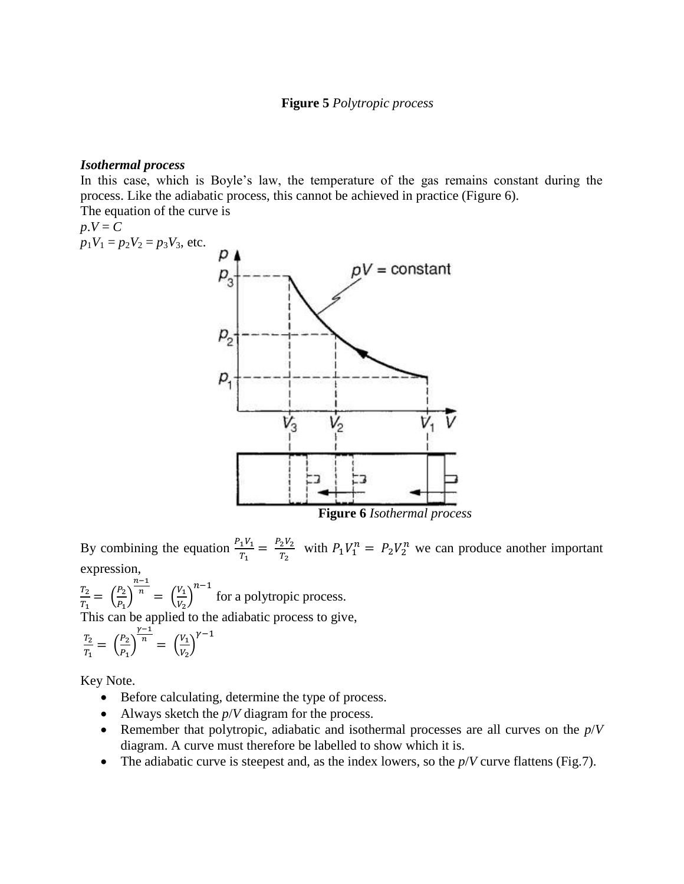### **Figure 5** *Polytropic process*

### *Isothermal process*

In this case, which is Boyle's law, the temperature of the gas remains constant during the process. Like the adiabatic process, this cannot be achieved in practice (Figure 6). The equation of the curve is

The equation of the curves  
\n
$$
p.V = C
$$
  
\n $p_1V_1 = p_2V_2 = p_3V_3$ , etc.  
\n $p_3$   
\n $p_1$   
\n $p_2$   
\n $p_3$   
\n $p_4$   
\n $p_5$   
\n $p_6$   
\n $p_7$   
\n $p_8$   
\n $p_9$   
\n $p_1$   
\n $p_2$   
\n $p_3$   
\n $p_4$   
\n $p_5$   
\nFigure 6 Isothermal process

By combining the equation  $\frac{P_1 V_1}{T_1} = \frac{P_2}{T_1}$  $\frac{P_2 V_2}{T_2}$  with  $P_1 V_1^n = P_2 V_2^n$  we can produce another important expression,

T,  $\frac{T_2}{T_1} = \left(\frac{P}{P}\right)$  $\frac{12}{P_1}$  $\boldsymbol{n}$  $\frac{\overline{n}}{n} = \left(\frac{V}{V}\right)$  $\frac{V_1}{V_2}\Big)^{n-1}$  for a polytropic process.

This can be applied to the adiabatic process to give,

$$
\frac{T_2}{T_1} = \left(\frac{P_2}{P_1}\right)^{\frac{\gamma - 1}{n}} = \left(\frac{V_1}{V_2}\right)^{\gamma - 1}
$$

Key Note.

- Before calculating, determine the type of process.
- Always sketch the *p*/*V* diagram for the process.
- Remember that polytropic, adiabatic and isothermal processes are all curves on the *p*/*V*  diagram. A curve must therefore be labelled to show which it is.
- The adiabatic curve is steepest and, as the index lowers, so the  $p/V$  curve flattens (Fig.7).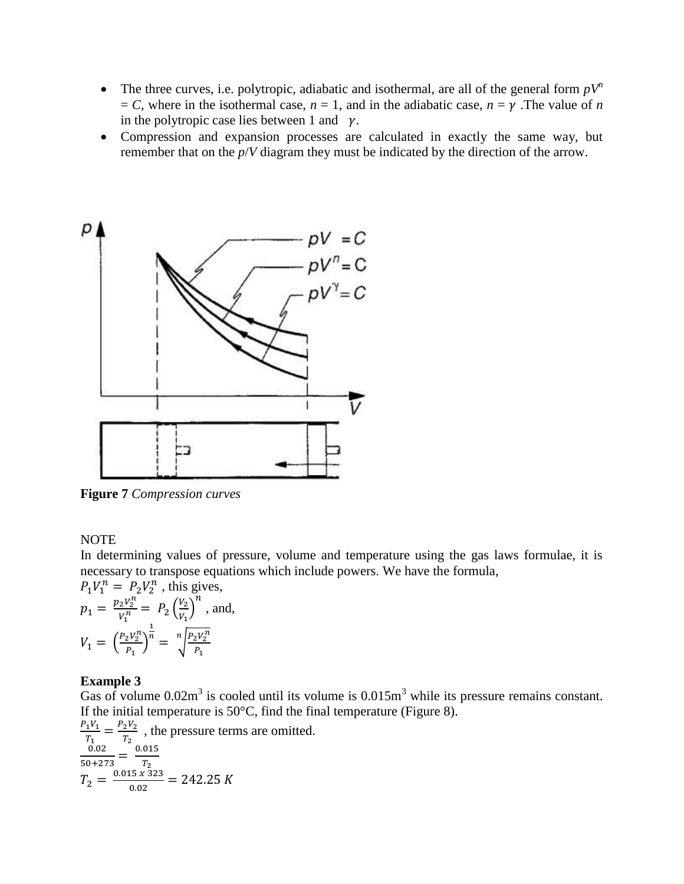- The three curves, i.e. polytropic, adiabatic and isothermal, are all of the general form  $pV^n$  $= C$ , where in the isothermal case,  $n = 1$ , and in the adiabatic case,  $n = \gamma$ . The value of *n* in the polytropic case lies between 1 and  $\gamma$ .
- Compression and expansion processes are calculated in exactly the same way, but remember that on the *p*/*V* diagram they must be indicated by the direction of the arrow.



**Figure 7** *Compression curves*

### NOTE

In determining values of pressure, volume and temperature using the gas laws formulae, it is necessary to transpose equations which include powers. We have the formula,

$$
P_1 V_1^n = P_2 V_2^n
$$
, this gives,  
\n
$$
p_1 = \frac{p_2 V_2^n}{V_1^n} = P_2 \left(\frac{V_2}{V_1}\right)^n
$$
, and,  
\n
$$
V_1 = \left(\frac{P_2 V_2^n}{P_1}\right)^{\frac{1}{n}} = \sqrt[n]{\frac{P_2 V_2^n}{P_1}}
$$

### **Example 3**

Gas of volume  $0.02m<sup>3</sup>$  is cooled until its volume is  $0.015m<sup>3</sup>$  while its pressure remains constant. If the initial temperature is  $50^{\circ}$ C, find the final temperature (Figure 8).

$$
\frac{P_1 V_1}{T_1} = \frac{P_2 V_2}{T_2}
$$
, the pressure terms are omitted.  
\n
$$
\frac{0.02}{50 + 273} = \frac{0.015}{T_2}
$$
  
\n
$$
T_2 = \frac{0.015 \times 323}{0.02} = 242.25 K
$$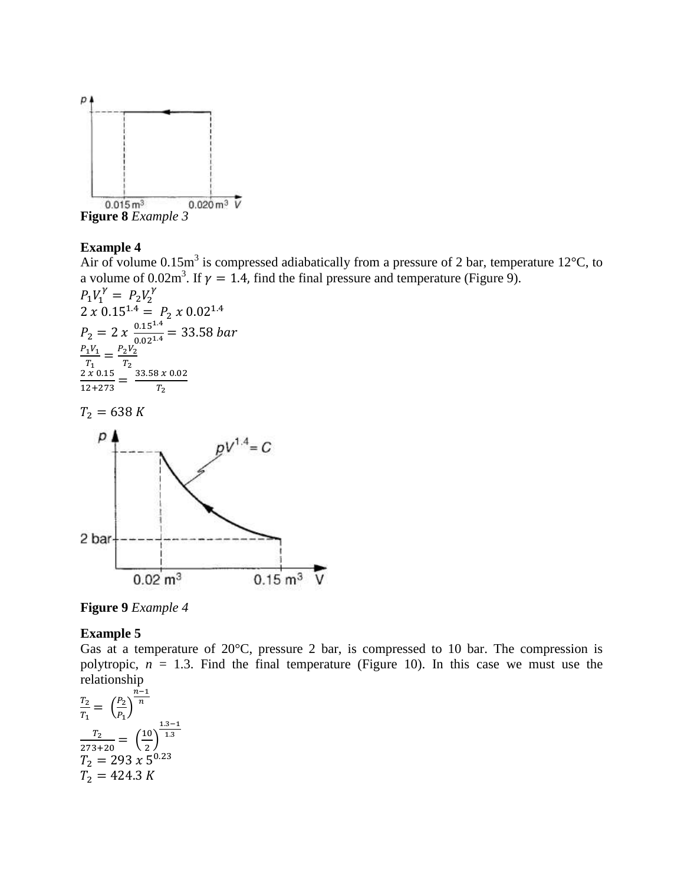

**Figure 8** *Example 3*

# **Example 4**

Air of volume 0.15m<sup>3</sup> is compressed adiabatically from a pressure of 2 bar, temperature 12<sup>o</sup>C, to a volume of 0.02m<sup>3</sup>. If  $\gamma = 1.4$ , find the final pressure and temperature (Figure 9).

$$
P_1V_1^{\gamma} = P_2V_2^{\gamma}
$$
  
2 x 0.15<sup>1.4</sup> =  $P_2$  x 0.02<sup>1.4</sup>  
 $P_2 = 2$  x  $\frac{0.15^{1.4}}{0.02^{1.4}} = 33.58$  bar  
 $\frac{P_1V_1}{T_1} = \frac{P_2V_2}{T_2}$   
 $\frac{2 x 0.15}{12+273} = \frac{33.58 x 0.02}{T_2}$ 

 $T_2 = 638 K$ 



**Figure 9** *Example 4*

### **Example 5**

Gas at a temperature of 20°C, pressure 2 bar, is compressed to 10 bar. The compression is polytropic,  $n = 1.3$ . Find the final temperature (Figure 10). In this case we must use the relationship

$$
\frac{T_2}{T_1} = \left(\frac{P_2}{P_1}\right)^{\frac{n-1}{n}}
$$

$$
\frac{T_2}{273+20} = \left(\frac{10}{2}\right)^{\frac{1.3-1}{1.3}}
$$

$$
T_2 = 293 \times 5^{0.23}
$$

$$
T_2 = 424.3 \text{ K}
$$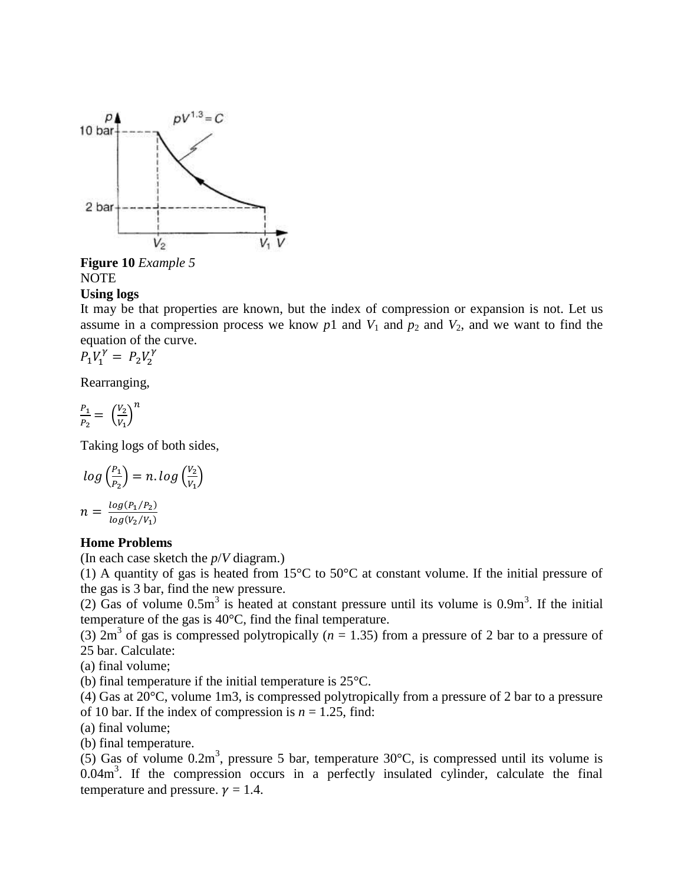

**Figure 10** *Example 5* NOTE

### **Using logs**

It may be that properties are known, but the index of compression or expansion is not. Let us assume in a compression process we know  $p1$  and  $V_1$  and  $p_2$  and  $V_2$ , and we want to find the equation of the curve.

$$
P_1 V_1^{\gamma} = P_2 V_2^{\gamma}
$$

Rearranging,

$$
\frac{P_1}{P_2} = \left(\frac{V_2}{V_1}\right)^n
$$

Taking logs of both sides,

$$
log\left(\frac{P_1}{P_2}\right) = n. log\left(\frac{V_2}{V_1}\right)
$$

$$
n = \frac{log(P_1/P_2)}{log(V_2/V_1)}
$$

### **Home Problems**

(In each case sketch the *p*/*V* diagram.)

(1) A quantity of gas is heated from 15°C to 50°C at constant volume. If the initial pressure of the gas is 3 bar, find the new pressure.

(2) Gas of volume  $0.5m<sup>3</sup>$  is heated at constant pressure until its volume is  $0.9m<sup>3</sup>$ . If the initial temperature of the gas is 40°C, find the final temperature.

(3)  $2m<sup>3</sup>$  of gas is compressed polytropically ( $n = 1.35$ ) from a pressure of 2 bar to a pressure of 25 bar. Calculate:

(a) final volume;

(b) final temperature if the initial temperature is 25°C.

(4) Gas at 20°C, volume 1m3, is compressed polytropically from a pressure of 2 bar to a pressure of 10 bar. If the index of compression is  $n = 1.25$ , find:

(a) final volume;

(b) final temperature.

(5) Gas of volume  $0.2m^3$ , pressure 5 bar, temperature  $30^{\circ}$ C, is compressed until its volume is  $0.04\,\text{m}^3$ . If the compression occurs in a perfectly insulated cylinder, calculate the final temperature and pressure.  $\nu = 1.4$ .